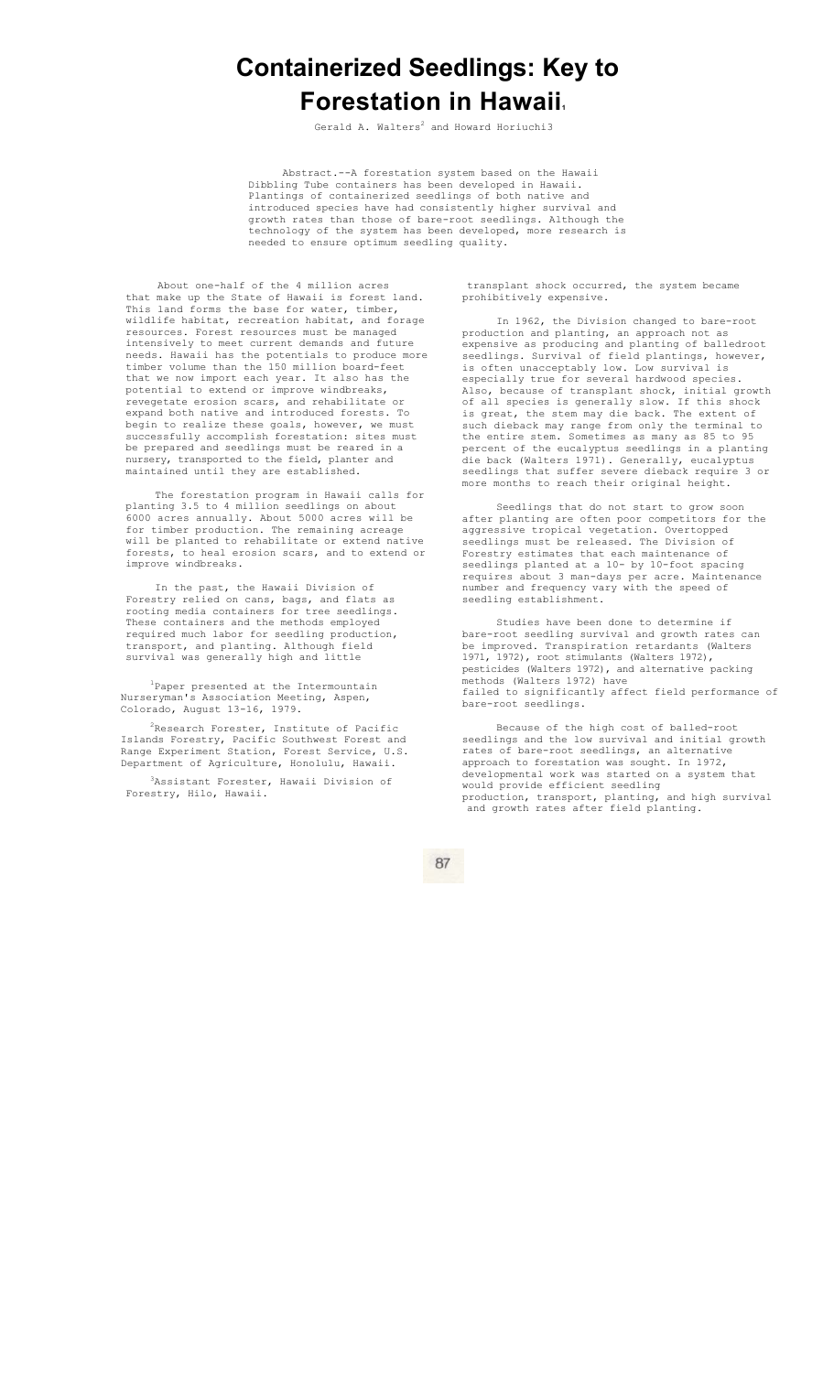# **Containerized Seedlings: Key to Forestation in Hawaii.**

Gerald A. Walters<sup>2</sup> and Howard Horiuchi3

Abstract.--A forestation system based on the Hawaii Dibbling Tube containers has been developed in Hawaii. Plantings of containerized seedlings of both native and introduced species have had consistently higher survival and growth rates than those of bare-root seedlings. Although the technology of the system has been developed, more research is needed to ensure optimum seedling quality.

About one-half of the 4 million acres that make up the State of Hawaii is forest land. This land forms the base for water, timber, wildlife habitat, recreation habitat, and forage resources. Forest resources must be managed intensively to meet current demands and future needs. Hawaii has the potentials to produce more timber volume than the 150 million board-feet that we now import each year. It also has the potential to extend or improve windbreaks, revegetate erosion scars, and rehabilitate or expand both native and introduced forests. To begin to realize these goals, however, we must successfully accomplish forestation: sites must be prepared and seedlings must be reared in a nursery, transported to the field, planter and maintained until they are established.

The forestation program in Hawaii calls for planting 3.5 to 4 million seedlings on about 6000 acres annually. About 5000 acres will be for timber production. The remaining acreage will be planted to rehabilitate or extend native forests, to heal erosion scars, and to extend or improve windbreaks.

In the past, the Hawaii Division of Forestry relied on cans, bags, and flats as rooting media containers for tree seedlings. These containers and the methods employed required much labor for seedling production, transport, and planting. Although field survival was generally high and little

<sup>1</sup>Paper presented at the Intermountain Nurseryman's Association Meeting, Aspen, Colorado, August 13-16, 1979.

 $2$ Research Forester, Institute of Pacific Islands Forestry, Pacific Southwest Forest and Range Experiment Station, Forest Service, U.S. Department of Agriculture, Honolulu, Hawaii.

3Assistant Forester, Hawaii Division of Forestry, Hilo, Hawaii.

transplant shock occurred, the system became prohibitively expensive.

In 1962, the Division changed to bare-root production and planting, an approach not as expensive as producing and planting of balledroot seedlings. Survival of field plantings, however, is often unacceptably low. Low survival is especially true for several hardwood species. Also, because of transplant shock, initial growth of all species is generally slow. If this shock is great, the stem may die back. The extent of such dieback may range from only the terminal to the entire stem. Sometimes as many as 85 to 95 percent of the eucalyptus seedlings in a planting die back (Walters 1971). Generally, eucalyptus seedlings that suffer severe dieback require 3 or more months to reach their original height.

Seedlings that do not start to grow soon after planting are often poor competitors for the aggressive tropical vegetation. Overtopped seedlings must be released. The Division of Forestry estimates that each maintenance of seedlings planted at a 10- by 10-foot spacing requires about 3 man-days per acre. Maintenance number and frequency vary with the speed of seedling establishment.

Studies have been done to determine if bare-root seedling survival and growth rates can be improved. Transpiration retardants (Walters 1971, 1972), root stimulants (Walters 1972), pesticides (Walters 1972), and alternative packing methods (Walters 1972) have failed to significantly affect field performance of bare-root seedlings.

Because of the high cost of balled-root seedlings and the low survival and initial growth rates of bare-root seedlings, an alternative approach to forestation was sought. In 1972, developmental work was started on a system that would provide efficient seedling production, transport, planting, and high survival and growth rates after field planting.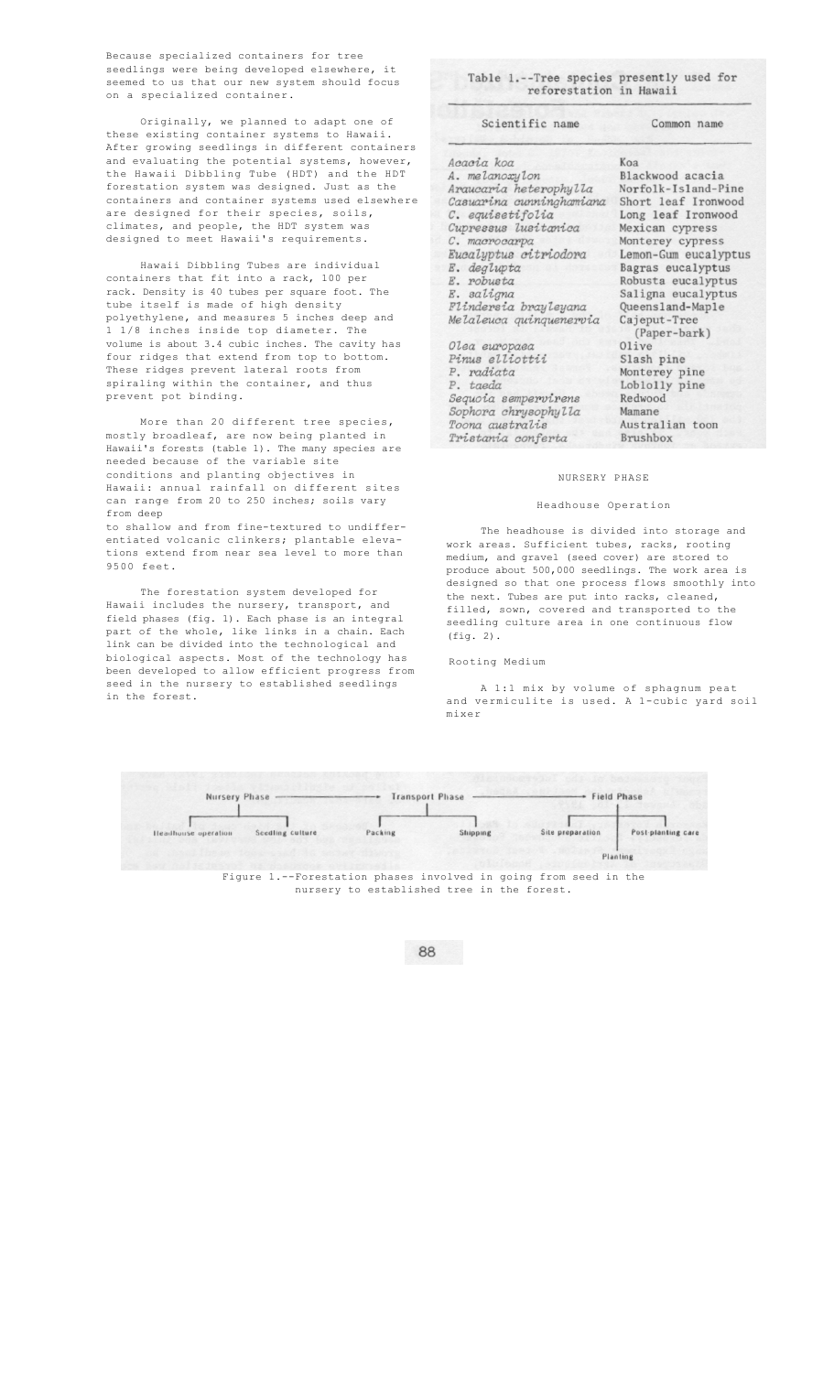Because specialized containers for tree seedlings were being developed elsewhere, it seemed to us that our new system should focus on a specialized container.

Originally, we planned to adapt one of these existing container systems to Hawaii. After growing seedlings in different containers and evaluating the potential systems, however, the Hawaii Dibbling Tube (HDT) and the HDT forestation system was designed. Just as the containers and container systems used elsewhere are designed for their species, soils, climates, and people, the HDT system was designed to meet Hawaii's requirements.

Hawaii Dibbling Tubes are individual containers that fit into a rack, 100 per rack. Density is 40 tubes per square foot. The tube itself is made of high density polyethylene, and measures 5 inches deep and 1 1/8 inches inside top diameter. The volume is about 3.4 cubic inches. The cavity has four ridges that extend from top to bottom. These ridges prevent lateral roots from spiraling within the container, and thus prevent pot binding.

More than 20 different tree species, mostly broadleaf, are now being planted in Hawaii's forests (table 1). The many species are needed because of the variable site conditions and planting objectives in Hawaii: annual rainfall on different sites can range from 20 to 250 inches; soils vary from deep

to shallow and from fine-textured to undifferentiated volcanic clinkers; plantable elevations extend from near sea level to more than 9500 feet.

The forestation system developed for Hawaii includes the nursery, transport, and field phases (fig. 1). Each phase is an integral part of the whole, like links in a chain. Each .<br>link can be divided into the technological and biological aspects. Most of the technology has been developed to allow efficient progress from seed in the nursery to established seedlings in the forest.

Table 1.--Tree species presently used for<br>reforestation in Hawaii

Scientific name

Common name

| Acacia koa                                                                                                                                          | Koa                                                                                                                       |
|-----------------------------------------------------------------------------------------------------------------------------------------------------|---------------------------------------------------------------------------------------------------------------------------|
| A. melanoxylon                                                                                                                                      | Blackwood acacia                                                                                                          |
| Araucaria heterophylla                                                                                                                              | Norfolk-Island-Pine                                                                                                       |
| Casuarina cunninghamiana                                                                                                                            | Short leaf Ironwood                                                                                                       |
| C. equisetifolia                                                                                                                                    | Long leaf Ironwood                                                                                                        |
| Cupressus lusitanica                                                                                                                                | Mexican cypress                                                                                                           |
| C. macrocarpa                                                                                                                                       | Monterey cypress                                                                                                          |
| Eucalyptus citriodora                                                                                                                               | Lemon-Gum eucalyptus                                                                                                      |
| E. deglupta                                                                                                                                         | Bagras eucalyptus                                                                                                         |
| E. robusta                                                                                                                                          | Robusta eucalyptus                                                                                                        |
| E. saligna                                                                                                                                          | Saligna eucalyptus                                                                                                        |
| Flindersia brayleyana                                                                                                                               | Queensland-Maple                                                                                                          |
| Melaleuca guinguenervia                                                                                                                             | Cajeput-Tree                                                                                                              |
| Olea europaea<br>Pinus elliottii<br>P. radiata<br>P. taeda<br>Sequoia sempervirens<br>Sophora chrysophylla<br>Toona australis<br>Tristania conferta | (Paper-bark)<br>Olive<br>Slash pine<br>Monterey pine<br>Loblolly pine<br>Redwood<br>Mamane<br>Australian toon<br>Brushbox |

#### NURSERY PHASE

#### Headhouse Operation

The headhouse is divided into storage and work areas. Sufficient tubes, racks, rooting medium, and gravel (seed cover) are stored to produce about 500,000 seedlings. The work area is designed so that one process flows smoothly into the next. Tubes are put into racks, cleaned, filled, sown, covered and transported to the seedling culture area in one continuous flow (fig. 2).

## Rooting Medium

A 1:1 mix by volume of sphagnum peat and vermiculite is used. A 1-cubic yard soil mixer



nursery to established tree in the forest.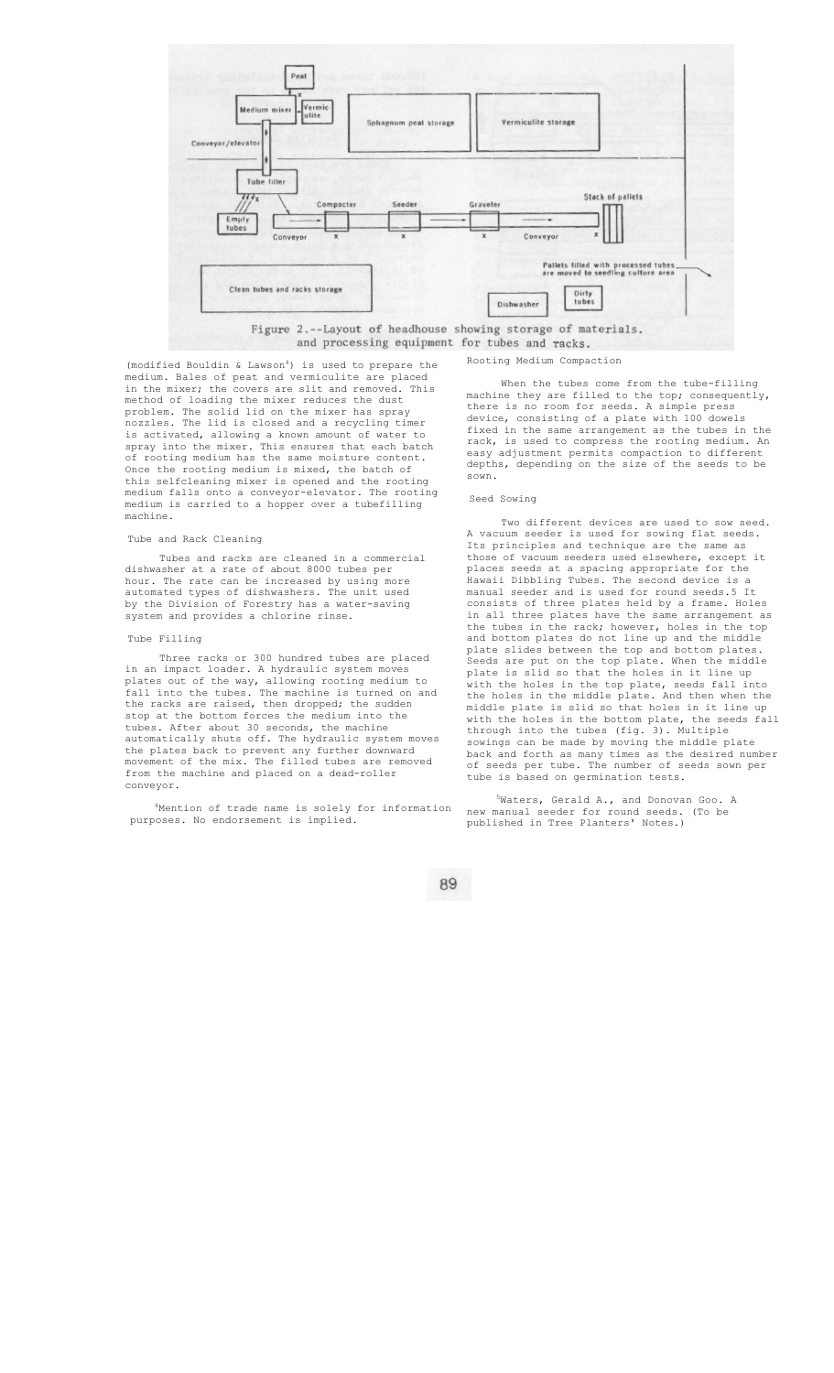

and processing equipment for tubes and racks.

#### $(modified$  Bouldin & Lawson<sup>4</sup>) is used to prepare the medium. Bales of peat and vermiculite are placed in the mixer; the covers are slit and removed. This method of loading the mixer reduces the dust problem. The solid lid on the mixer has spray nozzles. The lid is closed and a recycling timer is activated, allowing a known amount of water to spray into the mixer. This ensures that each batch of rooting medium has the same moisture content. Once the rooting medium is mixed, the batch of this selfcleaning mixer is opened and the rooting medium falls onto a conveyor-elevator. The rooting medium is carried to a hopper over a tubefilling machine.

#### Tube and Rack Cleaning

Tubes and racks are cleaned in a commercial dishwasher at a rate of about 8000 tubes per hour. The rate can be increased by using more automated types of dishwashers. The unit used by the Division of Forestry has a water-saving system and provides a chlorine rinse.

## Tube Filling

Three racks or 300 hundred tubes are placed in an impact loader. A hydraulic system moves plates out of the way, allowing rooting medium to fall into the tubes. The machine is turned on and the racks are raised, then dropped; the sudden stop at the bottom forces the medium into the tubes. After about 30 seconds, the machine automatically shuts off. The hydraulic system moves the plates back to prevent any further downward movement of the mix. The filled tubes are removed from the machine and placed on a dead-roller conveyor.

4 Mention of trade name is solely for information purposes. No endorsement is implied.

Rooting Medium Compaction

When the tubes come from the tube-filling machine they are filled to the top; consequently, there is no room for seeds. A simple press device, consisting of a plate with 100 dowels fixed in the same arrangement as the tubes in the rack, is used to compress the rooting medium. An easy adjustment permits compaction to different depths, depending on the size of the seeds to be sown.

# Seed Sowing

Two different devices are used to sow seed. A vacuum seeder is used for sowing flat seeds. Its principles and technique are the same as those of vacuum seeders used elsewhere, except it places seeds at a spacing appropriate for the Hawaii Dibbling Tubes. The second device is a manual seeder and is used for round seeds.5 It consists of three plates held by a frame. Holes in all three plates have the same arrangement as the tubes in the rack; however, holes in the top and bottom plates do not line up and the middle plate slides between the top and bottom plates. Seeds are put on the top plate. When the middle plate is slid so that the holes in it line up with the holes in the top plate, seeds fall into the holes in the middle plate. And then when the middle plate is slid so that holes in it line up with the holes in the bottom plate, the seeds fall through into the tubes (fig. 3). Multiple sowings can be made by moving the middle plate back and forth as many times as the desired number of seeds per tube. The number of seeds sown per tube is based on germination tests.

5 Waters, Gerald A., and Donovan Goo. A new manual seeder for round seeds. (To be published in Tree Planters' Notes.)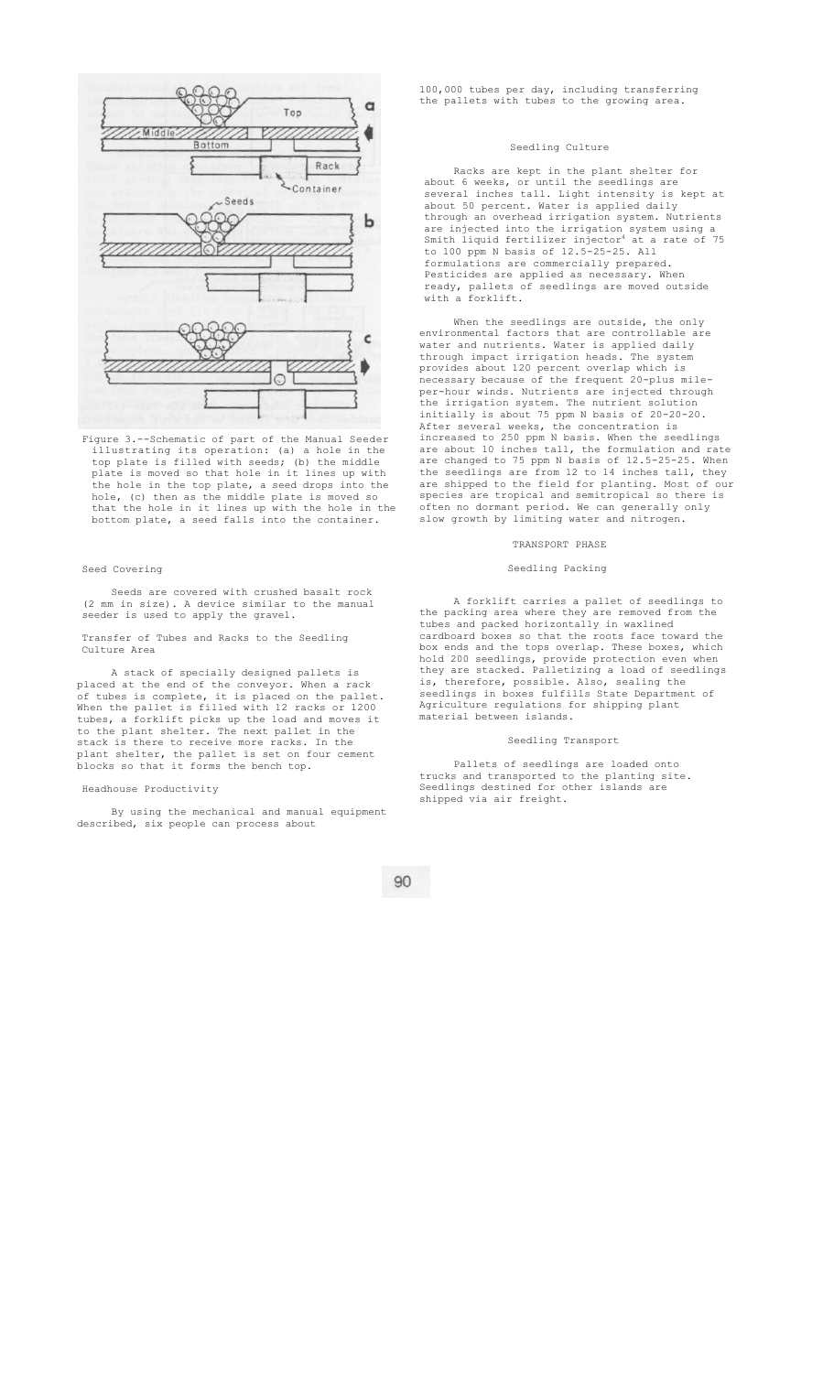

Figure 3.--Schematic of part of the Manual Seeder illustrating its operation: (a) a hole in the top plate is filled with seeds; (b) the middle plate is moved so that hole in it lines up with the hole in the top plate, a seed drops into the hole, (c) then as the middle plate is moved so that the hole in it lines up with the hole in the bottom plate, a seed falls into the container.

#### Seed Covering

Seeds are covered with crushed basalt rock (2 mm in size). A device similar to the manual seeder is used to apply the gravel.

#### Transfer of Tubes and Racks to the Seedling Culture Area

A stack of specially designed pallets is placed at the end of the conveyor. When a rack of tubes is complete, it is placed on the pallet. When the pallet is filled with 12 racks or 1200 tubes, a forklift picks up the load and moves it to the plant shelter. The next pallet in the stack is there to receive more racks. In the plant shelter, the pallet is set on four cement blocks so that it forms the bench top.

## Headhouse Productivity

By using the mechanical and manual equipment described, six people can process about

100,000 tubes per day, including transferring the pallets with tubes to the growing area.

# Seedling Culture

Racks are kept in the plant shelter for about 6 weeks, or until the seedlings are several inches tall. Light intensity is kept at about 50 percent. Water is applied daily through an overhead irrigation system. Nutrients are injected into the irrigation system using a<br>Smith liquid fertilizer injector<sup>4</sup> at a rate of 75 to 100 ppm N basis of 12.5-25-25. All formulations are commercially prepared. Pesticides are applied as necessary. When ready, pallets of seedlings are moved outside with a forklift.

When the seedlings are outside, the only environmental factors that are controllable are water and nutrients. Water is applied daily through impact irrigation heads. The system provides about 120 percent overlap which is necessary because of the frequent 20-plus mileper-hour winds. Nutrients are injected through the irrigation system. The nutrient solution initially is about 75 ppm N basis of 20-20-20. After several weeks, the concentration is increased to 250 ppm N basis. When the seedlings are about 10 inches tall, the formulation and rate are changed to 75 ppm N basis of 12.5-25-25. When the seedlings are from 12 to 14 inches tall, they are shipped to the field for planting. Most of our species are tropical and semitropical so there is often no dormant period. We can generally only slow growth by limiting water and nitrogen.

# TRANSPORT PHASE

# Seedling Packing

A forklift carries a pallet of seedlings to the packing area where they are removed from the tubes and packed horizontally in waxlined cardboard boxes so that the roots face toward the box ends and the tops overlap. These boxes, which hold 200 seedlings, provide protection even when they are stacked. Palletizing a load of seedlings is, therefore, possible. Also, sealing the seedlings in boxes fulfills State Department of Agriculture regulations for shipping plant material between islands.

## Seedling Transport

Pallets of seedlings are loaded onto trucks and transported to the planting site. Seedlings destined for other islands are shipped via air freight.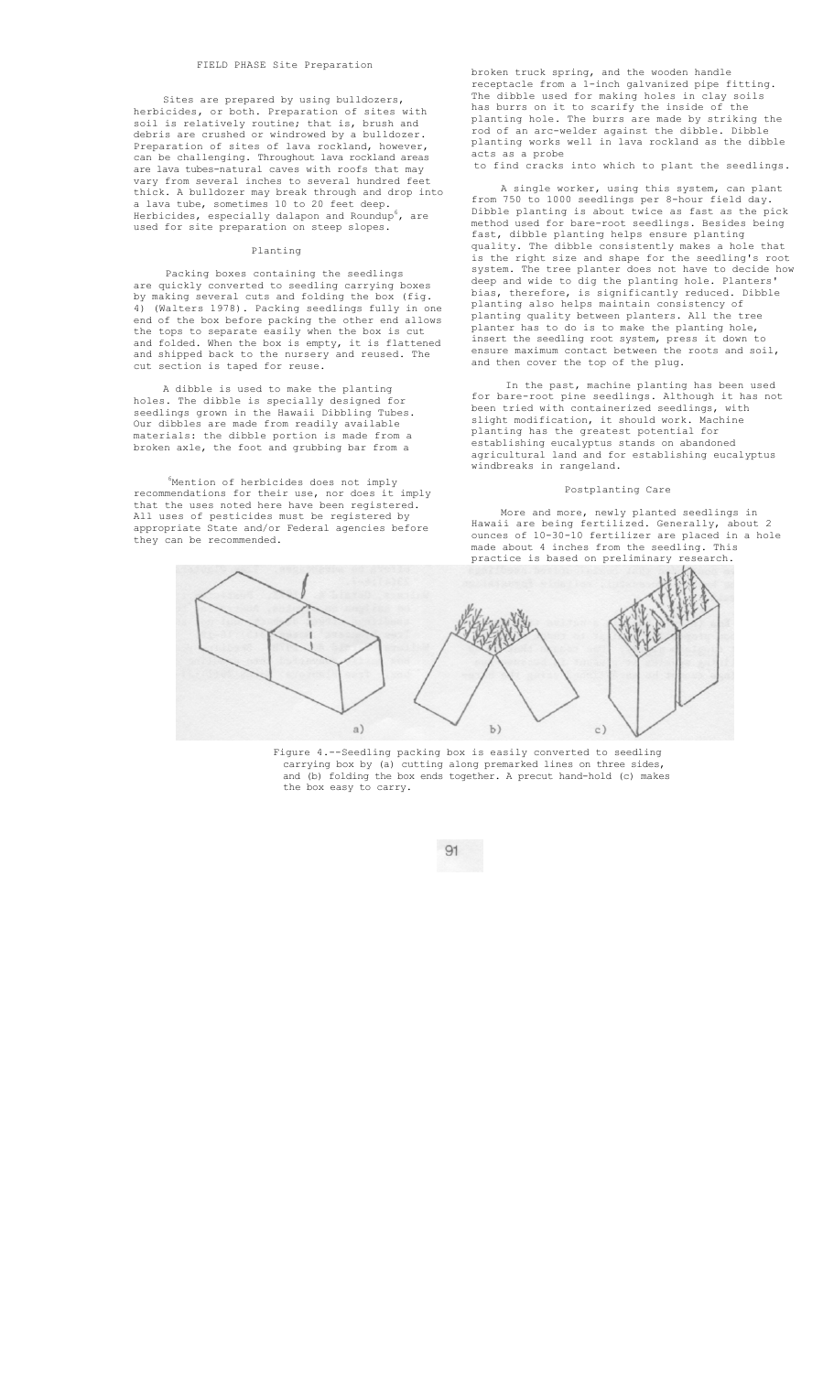# FIELD PHASE Site Preparation

Sites are prepared by using bulldozers, herbicides, or both. Preparation of sites with soil is relatively routine; that is, brush and debris are crushed or windrowed by a bulldozer. Preparation of sites of lava rockland, however, can be challenging. Throughout lava rockland areas are lava tubes-natural caves with roofs that may vary from several inches to several hundred feet thick. A bulldozer may break through and drop into a lava tube, sometimes 10 to 20 feet deep.<br>Herbicides, especially dalapon and Roundup<sup>6</sup>, are used for site preparation on steep slopes.

## Planting

Packing boxes containing the seedlings are quickly converted to seedling carrying boxes by making several cuts and folding the box (fig. 4) (Walters 1978). Packing seedlings fully in one end of the box before packing the other end allows the tops to separate easily when the box is cut and folded. When the box is empty, it is flattened and shipped back to the nursery and reused. The cut section is taped for reuse.

A dibble is used to make the planting holes. The dibble is specially designed for seedlings grown in the Hawaii Dibbling Tubes. Our dibbles are made from readily available materials: the dibble portion is made from a broken axle, the foot and grubbing bar from a

 $6$ Mention of herbicides does not imply<br>mendations for their use, nor does it imply recommendations for their use, nor does that the uses noted here have been registered. All uses of pesticides must be registered by appropriate State and/or Federal agencies before they can be recommended.

broken truck spring, and the wooden handle receptacle from a 1-inch galvanized pipe fitting. The dibble used for making holes in clay soils has burrs on it to scarify the inside of the planting hole. The burrs are made by striking the rod of an arc-welder against the dibble. Dibble planting works well in lava rockland as the dibble acts as a probe

to find cracks into which to plant the seedlings.

A single worker, using this system, can plant from 750 to 1000 seedlings per 8-hour field day. Dibble planting is about twice as fast as the pick method used for bare-root seedlings. Besides being fast, dibble planting helps ensure planting quality. The dibble consistently makes a hole that is the right size and shape for the seedling's root system. The tree planter does not have to decide how deep and wide to dig the planting hole. Planters' bias, therefore, is significantly reduced. Dibble planting also helps maintain consistency of planting quality between planters. All the tree planter has to do is to make the planting hole, insert the seedling root system, press it down to ensure maximum contact between the roots and soil, and then cover the top of the plug.

In the past, machine planting has been used for bare-root pine seedlings. Although it has not been tried with containerized seedlings, with slight modification, it should work. Machine planting has the greatest potential for establishing eucalyptus stands on abandoned agricultural land and for establishing eucalyptus windbreaks in rangeland.

#### Postplanting Care

More and more, newly planted seedlings in Hawaii are being fertilized. Generally, about 2 ounces of 10-30-10 fertilizer are placed in a hole made about 4 inches from the seedling. This practice is based on preliminary research.



Figure 4.--Seedling packing box is easily converted to seedling carrying box by (a) cutting along premarked lines on three sides, and (b) folding the box ends together. A precut hand-hold (c) makes the box easy to carry.